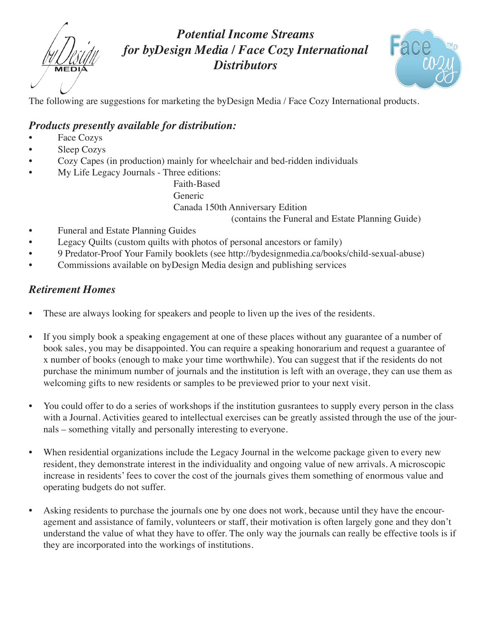*Potential Income Streams for byDesign Media / Face Cozy International Distributors*



The following are suggestions for marketing the byDesign Media / Face Cozy International products.

#### *Products presently available for distribution:*

- Face Cozys
- Sleep Cozys
- Cozy Capes (in production) mainly for wheelchair and bed-ridden individuals
- My Life Legacy Journals Three editions:

 Faith-Based Generic Canada 150th Anniversary Edition (contains the Funeral and Estate Planning Guide)

- Funeral and Estate Planning Guides
- Legacy Quilts (custom quilts with photos of personal ancestors or family)
- 9 Predator-Proof Your Family booklets (see http://bydesignmedia.ca/books/child-sexual-abuse)
- Commissions available on byDesign Media design and publishing services

## *Retirement Homes*

- These are always looking for speakers and people to liven up the ives of the residents.
- If you simply book a speaking engagement at one of these places without any guarantee of a number of book sales, you may be disappointed. You can require a speaking honorarium and request a guarantee of x number of books (enough to make your time worthwhile). You can suggest that if the residents do not purchase the minimum number of journals and the institution is left with an overage, they can use them as welcoming gifts to new residents or samples to be previewed prior to your next visit.
- You could offer to do a series of workshops if the institution gusrantees to supply every person in the class with a Journal. Activities geared to intellectual exercises can be greatly assisted through the use of the journals – something vitally and personally interesting to everyone.
- When residential organizations include the Legacy Journal in the welcome package given to every new resident, they demonstrate interest in the individuality and ongoing value of new arrivals. A microscopic increase in residents' fees to cover the cost of the journals gives them something of enormous value and operating budgets do not suffer.
- Asking residents to purchase the journals one by one does not work, because until they have the encouragement and assistance of family, volunteers or staff, their motivation is often largely gone and they don't understand the value of what they have to offer. The only way the journals can really be effective tools is if they are incorporated into the workings of institutions.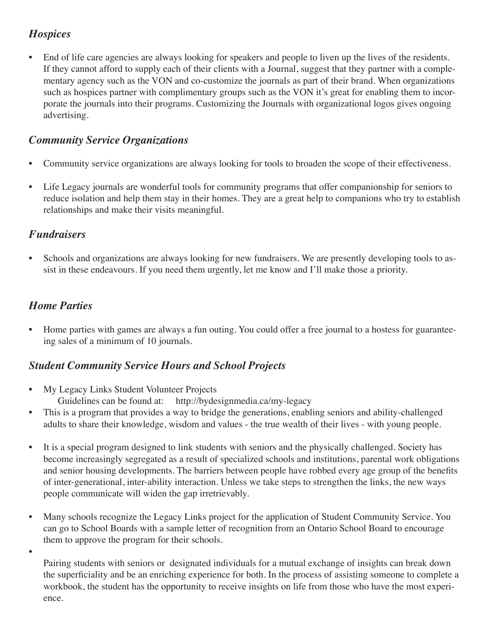### *Hospices*

• End of life care agencies are always looking for speakers and people to liven up the lives of the residents. If they cannot afford to supply each of their clients with a Journal, suggest that they partner with a complementary agency such as the VON and co-customize the journals as part of their brand. When organizations such as hospices partner with complimentary groups such as the VON it's great for enabling them to incorporate the journals into their programs. Customizing the Journals with organizational logos gives ongoing advertising.

### *Community Service Organizations*

- Community service organizations are always looking for tools to broaden the scope of their effectiveness.
- Life Legacy journals are wonderful tools for community programs that offer companionship for seniors to reduce isolation and help them stay in their homes. They are a great help to companions who try to establish relationships and make their visits meaningful.

### *Fundraisers*

• Schools and organizations are always looking for new fundraisers. We are presently developing tools to assist in these endeavours. If you need them urgently, let me know and I'll make those a priority.

# *Home Parties*

• 

• Home parties with games are always a fun outing. You could offer a free journal to a hostess for guaranteeing sales of a minimum of 10 journals.

### *Student Community Service Hours and School Projects*

- My Legacy Links Student Volunteer Projects Guidelines can be found at: http://bydesignmedia.ca/my-legacy
- This is a program that provides a way to bridge the generations, enabling seniors and ability-challenged adults to share their knowledge, wisdom and values - the true wealth of their lives - with young people.
- It is a special program designed to link students with seniors and the physically challenged. Society has become increasingly segregated as a result of specialized schools and institutions, parental work obligations and senior housing developments. The barriers between people have robbed every age group of the benefits of inter-generational, inter-ability interaction. Unless we take steps to strengthen the links, the new ways people communicate will widen the gap irretrievably.
- Many schools recognize the Legacy Links project for the application of Student Community Service. You can go to School Boards with a sample letter of recognition from an Ontario School Board to encourage them to approve the program for their schools.
	- Pairing students with seniors or designated individuals for a mutual exchange of insights can break down the superficiality and be an enriching experience for both. In the process of assisting someone to complete a workbook, the student has the opportunity to receive insights on life from those who have the most experience.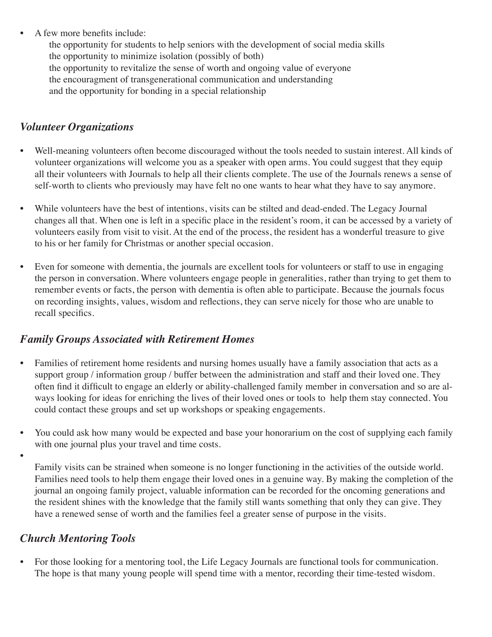• A few more benefits include:

the opportunity for students to help seniors with the development of social media skills the opportunity to minimize isolation (possibly of both) the opportunity to revitalize the sense of worth and ongoing value of everyone the encouragment of transgenerational communication and understanding and the opportunity for bonding in a special relationship

### *Volunteer Organizations*

- Well-meaning volunteers often become discouraged without the tools needed to sustain interest. All kinds of volunteer organizations will welcome you as a speaker with open arms. You could suggest that they equip all their volunteers with Journals to help all their clients complete. The use of the Journals renews a sense of self-worth to clients who previously may have felt no one wants to hear what they have to say anymore.
- While volunteers have the best of intentions, visits can be stilted and dead-ended. The Legacy Journal changes all that. When one is left in a specific place in the resident's room, it can be accessed by a variety of volunteers easily from visit to visit. At the end of the process, the resident has a wonderful treasure to give to his or her family for Christmas or another special occasion.
- Even for someone with dementia, the journals are excellent tools for volunteers or staff to use in engaging the person in conversation. Where volunteers engage people in generalities, rather than trying to get them to remember events or facts, the person with dementia is often able to participate. Because the journals focus on recording insights, values, wisdom and reflections, they can serve nicely for those who are unable to recall specifics.

### *Family Groups Associated with Retirement Homes*

- Families of retirement home residents and nursing homes usually have a family association that acts as a support group / information group / buffer between the administration and staff and their loved one. They often find it difficult to engage an elderly or ability-challenged family member in conversation and so are always looking for ideas for enriching the lives of their loved ones or tools to help them stay connected. You could contact these groups and set up workshops or speaking engagements.
- You could ask how many would be expected and base your honorarium on the cost of supplying each family with one journal plus your travel and time costs.
- •

Family visits can be strained when someone is no longer functioning in the activities of the outside world. Families need tools to help them engage their loved ones in a genuine way. By making the completion of the journal an ongoing family project, valuable information can be recorded for the oncoming generations and the resident shines with the knowledge that the family still wants something that only they can give. They have a renewed sense of worth and the families feel a greater sense of purpose in the visits.

# *Church Mentoring Tools*

• For those looking for a mentoring tool, the Life Legacy Journals are functional tools for communication. The hope is that many young people will spend time with a mentor, recording their time-tested wisdom.